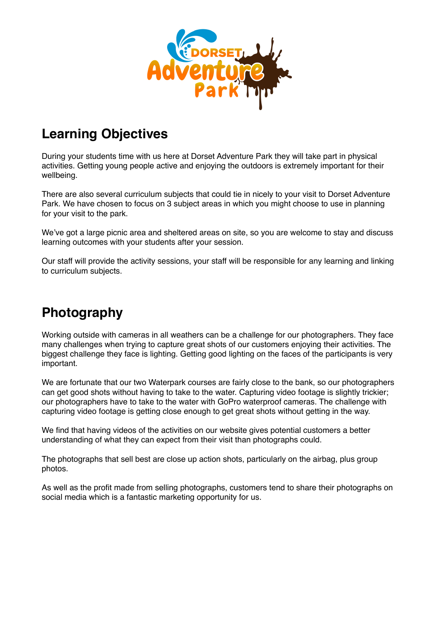

## **Learning Objectives**

During your students time with us here at Dorset Adventure Park they will take part in physical activities. Getting young people active and enjoying the outdoors is extremely important for their wellbeing.

There are also several curriculum subjects that could tie in nicely to your visit to Dorset Adventure Park. We have chosen to focus on 3 subject areas in which you might choose to use in planning for your visit to the park.

We've got a large picnic area and sheltered areas on site, so you are welcome to stay and discuss learning outcomes with your students after your session.

Our staff will provide the activity sessions, your staff will be responsible for any learning and linking to curriculum subjects.

## **Photography**

Working outside with cameras in all weathers can be a challenge for our photographers. They face many challenges when trying to capture great shots of our customers enjoying their activities. The biggest challenge they face is lighting. Getting good lighting on the faces of the participants is very important.

We are fortunate that our two Waterpark courses are fairly close to the bank, so our photographers can get good shots without having to take to the water. Capturing video footage is slightly trickier; our photographers have to take to the water with GoPro waterproof cameras. The challenge with capturing video footage is getting close enough to get great shots without getting in the way.

We find that having videos of the activities on our website gives potential customers a better understanding of what they can expect from their visit than photographs could.

The photographs that sell best are close up action shots, particularly on the airbag, plus group photos.

As well as the profit made from selling photographs, customers tend to share their photographs on social media which is a fantastic marketing opportunity for us.